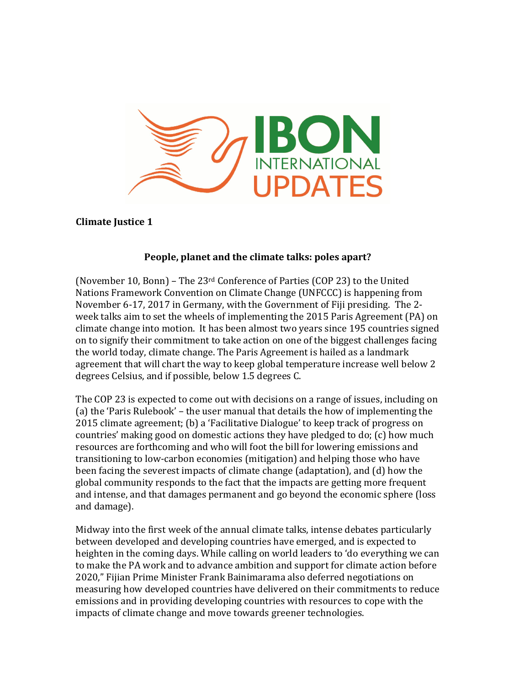

## **Climate Justice 1**

## **People, planet and the climate talks: poles apart?**

(November 10, Bonn) – The 23rd Conference of Parties (COP 23) to the United Nations Framework Convention on Climate Change (UNFCCC) is happening from November 6-17, 2017 in Germany, with the Government of Fiji presiding. The 2 week talks aim to set the wheels of implementing the 2015 Paris Agreement (PA) on climate change into motion. It has been almost two years since 195 countries signed on to signify their commitment to take action on one of the biggest challenges facing the world today, climate change. The Paris Agreement is hailed as a landmark agreement that will chart the way to keep global temperature increase well below 2 degrees Celsius, and if possible, below 1.5 degrees C.

The COP 23 is expected to come out with decisions on a range of issues, including on (a) the 'Paris Rulebook' – the user manual that details the how of implementing the 2015 climate agreement; (b) a 'Facilitative Dialogue' to keep track of progress on countries' making good on domestic actions they have pledged to do; (c) how much resources are forthcoming and who will foot the bill for lowering emissions and transitioning to low-carbon economies (mitigation) and helping those who have been facing the severest impacts of climate change (adaptation), and (d) how the global community responds to the fact that the impacts are getting more frequent and intense, and that damages permanent and go beyond the economic sphere (loss and damage).

Midway into the first week of the annual climate talks, intense debates particularly between developed and developing countries have emerged, and is expected to heighten in the coming days. While calling on world leaders to 'do everything we can to make the PA work and to advance ambition and support for climate action before 2020," Fijian Prime Minister Frank Bainimarama also deferred negotiations on measuring how developed countries have delivered on their commitments to reduce emissions and in providing developing countries with resources to cope with the impacts of climate change and move towards greener technologies.